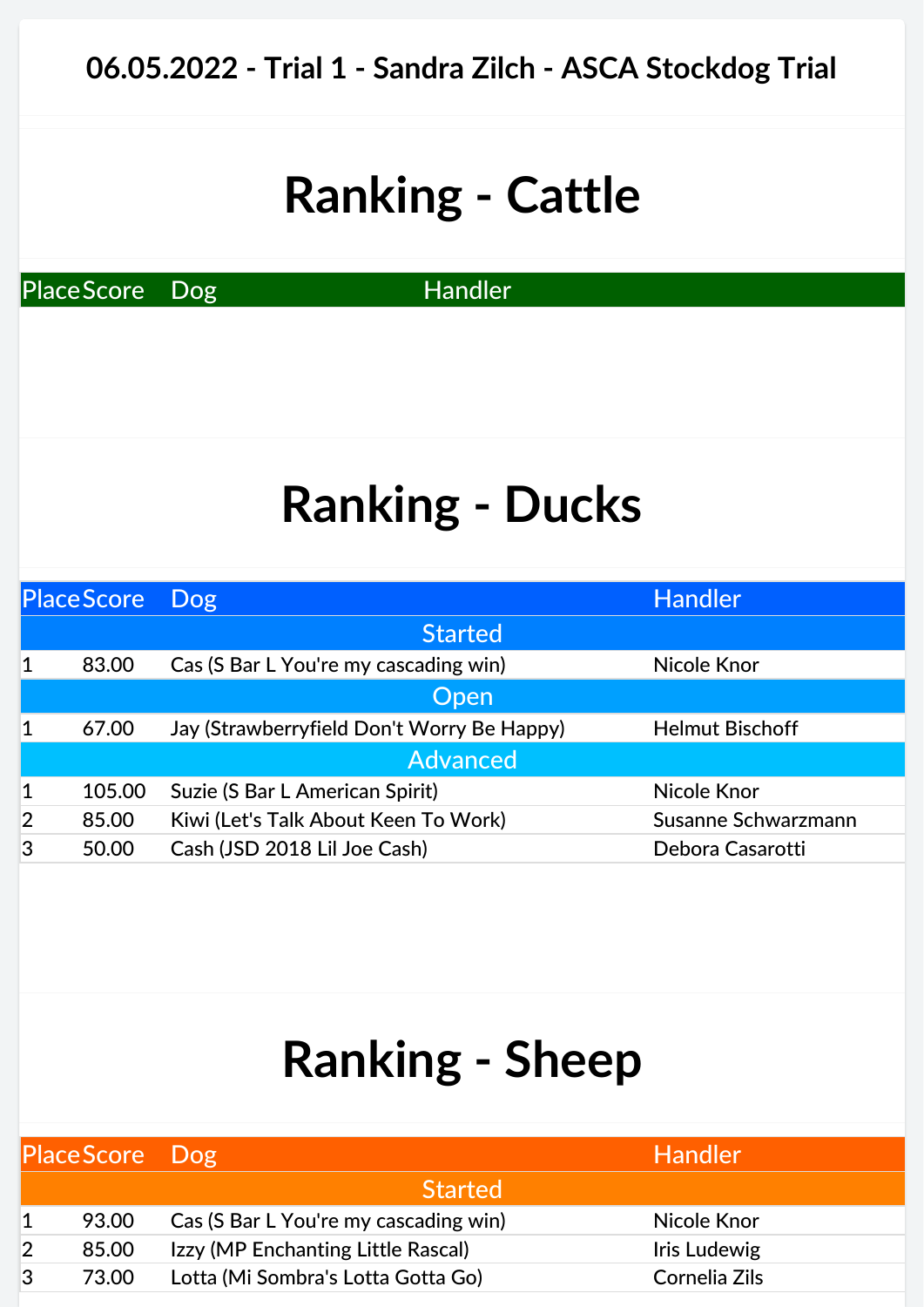PlaceScore Dog Handler

## **Ranking - Ducks**

| <b>Place Score</b> |        | Dog                                        | <b>Handler</b>         |
|--------------------|--------|--------------------------------------------|------------------------|
|                    |        | <b>Started</b>                             |                        |
| $\mathbf 1$        | 83.00  | Cas (S Bar L You're my cascading win)      | Nicole Knor            |
|                    |        | Open                                       |                        |
| 1                  | 67.00  | Jay (Strawberryfield Don't Worry Be Happy) | <b>Helmut Bischoff</b> |
|                    |        | <b>Advanced</b>                            |                        |
| 1                  | 105.00 | Suzie (S Bar L American Spirit)            | Nicole Knor            |
| $\overline{2}$     | 85.00  | Kiwi (Let's Talk About Keen To Work)       | Susanne Schwarzmann    |
| 3                  | 50.00  | Cash (JSD 2018 Lil Joe Cash)               | Debora Casarotti       |
|                    |        |                                            |                        |

|   | PlaceScore Dog |                                       | <b>Handler</b> |
|---|----------------|---------------------------------------|----------------|
|   |                | <b>Started</b>                        |                |
|   | 93.00          | Cas (S Bar L You're my cascading win) | Nicole Knor    |
|   | 85.00          | Izzy (MP Enchanting Little Rascal)    | Iris Ludewig   |
| 3 | 73.00          | Lotta (Mi Sombra's Lotta Gotta Go)    | Cornelia Zils  |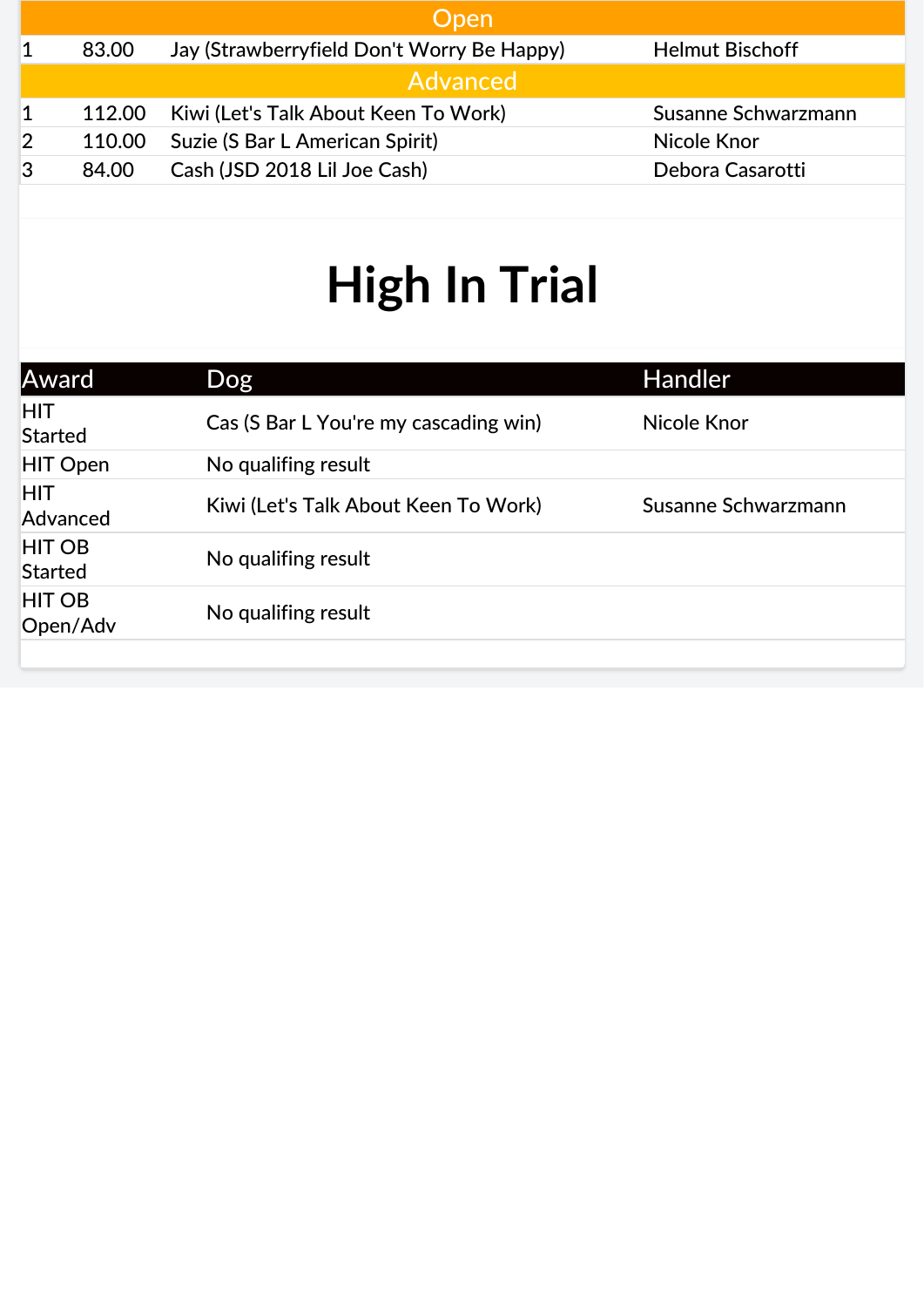|        | <b>Open</b>                                |                        |
|--------|--------------------------------------------|------------------------|
| 83.00  | Jay (Strawberryfield Don't Worry Be Happy) | <b>Helmut Bischoff</b> |
|        | Advanced                                   |                        |
| 112.00 | Kiwi (Let's Talk About Keen To Work)       | Susanne Schwarzmann    |
| 110.00 | Suzie (S Bar L American Spirit)            | Nicole Knor            |
| 84.00  | Cash (JSD 2018 Lil Joe Cash)               | Debora Casarotti       |
|        |                                            |                        |

| Award                           | Dog                                   | <b>Handler</b>      |
|---------------------------------|---------------------------------------|---------------------|
| <b>HIT</b><br><b>Started</b>    | Cas (S Bar L You're my cascading win) | Nicole Knor         |
| <b>HIT Open</b>                 | No qualifing result                   |                     |
| <b>HIT</b><br>Advanced          | Kiwi (Let's Talk About Keen To Work)  | Susanne Schwarzmann |
| <b>HIT OB</b><br><b>Started</b> | No qualifing result                   |                     |
| <b>HIT OB</b><br>Open/Adv       | No qualifing result                   |                     |
|                                 |                                       |                     |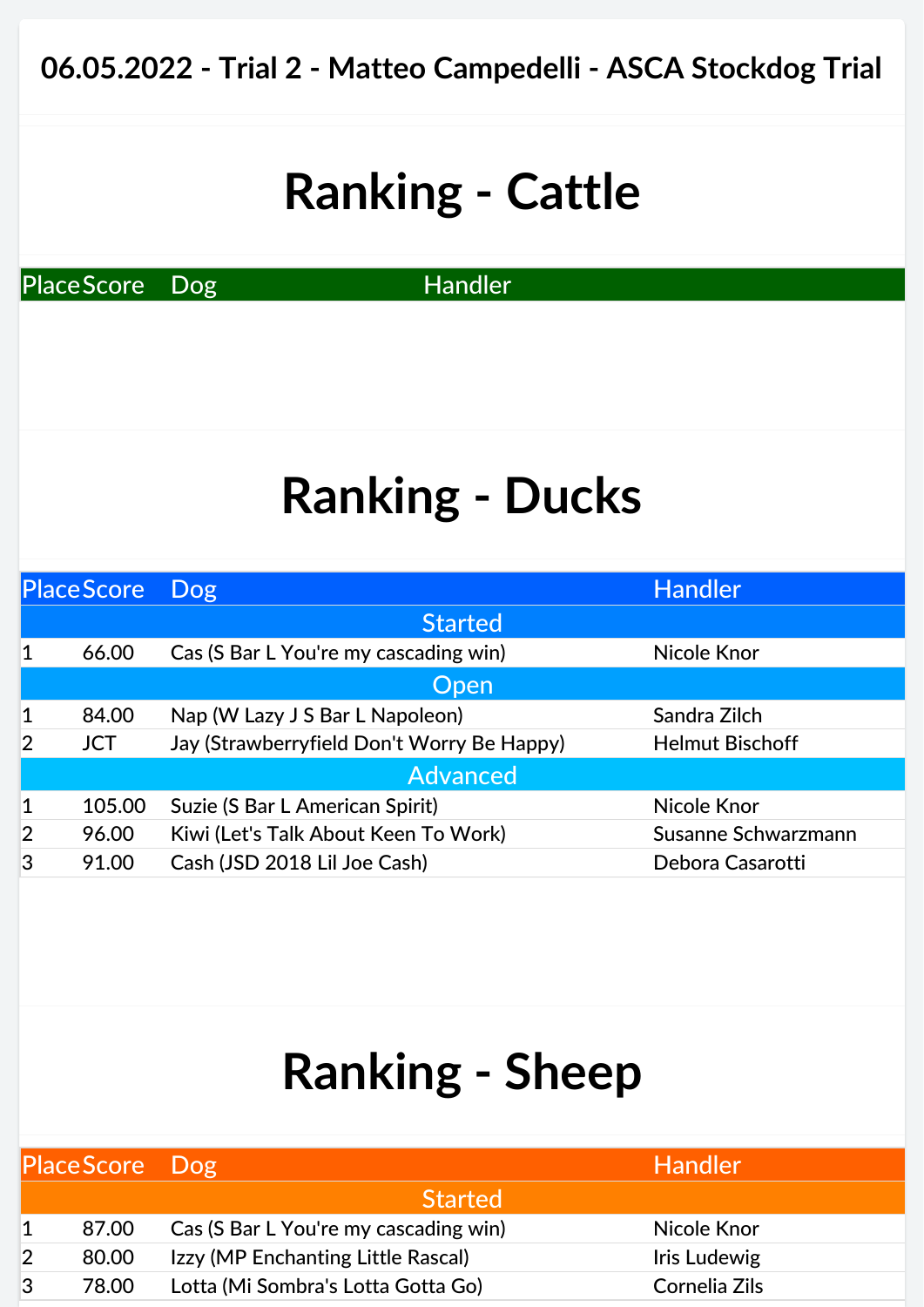PlaceScore Dog Handler

#### **Ranking - Ducks**

| Place Score    |            | <b>Dog</b>                                 | <b>Handler</b>         |
|----------------|------------|--------------------------------------------|------------------------|
|                |            | <b>Started</b>                             |                        |
| $\mathbf 1$    | 66.00      | Cas (S Bar L You're my cascading win)      | Nicole Knor            |
|                |            | <b>Open</b>                                |                        |
| $\mathbf{1}$   | 84.00      | Nap (W Lazy J S Bar L Napoleon)            | Sandra Zilch           |
| $\overline{2}$ | <b>JCT</b> | Jay (Strawberryfield Don't Worry Be Happy) | <b>Helmut Bischoff</b> |
|                |            | <b>Advanced</b>                            |                        |
| $\mathbf{1}$   | 105.00     | Suzie (S Bar L American Spirit)            | Nicole Knor            |
| $\overline{2}$ | 96.00      | Kiwi (Let's Talk About Keen To Work)       | Susanne Schwarzmann    |
| 3              | 91.00      | Cash (JSD 2018 Lil Joe Cash)               | Debora Casarotti       |

| Place Score Dog |       |                                       | <b>Handler</b> |
|-----------------|-------|---------------------------------------|----------------|
|                 |       | <b>Started</b>                        |                |
|                 | 87.00 | Cas (S Bar L You're my cascading win) | Nicole Knor    |
|                 | 80.00 | Izzy (MP Enchanting Little Rascal)    | Iris Ludewig   |
| 3               | 78.00 | Lotta (Mi Sombra's Lotta Gotta Go)    | Cornelia Zils  |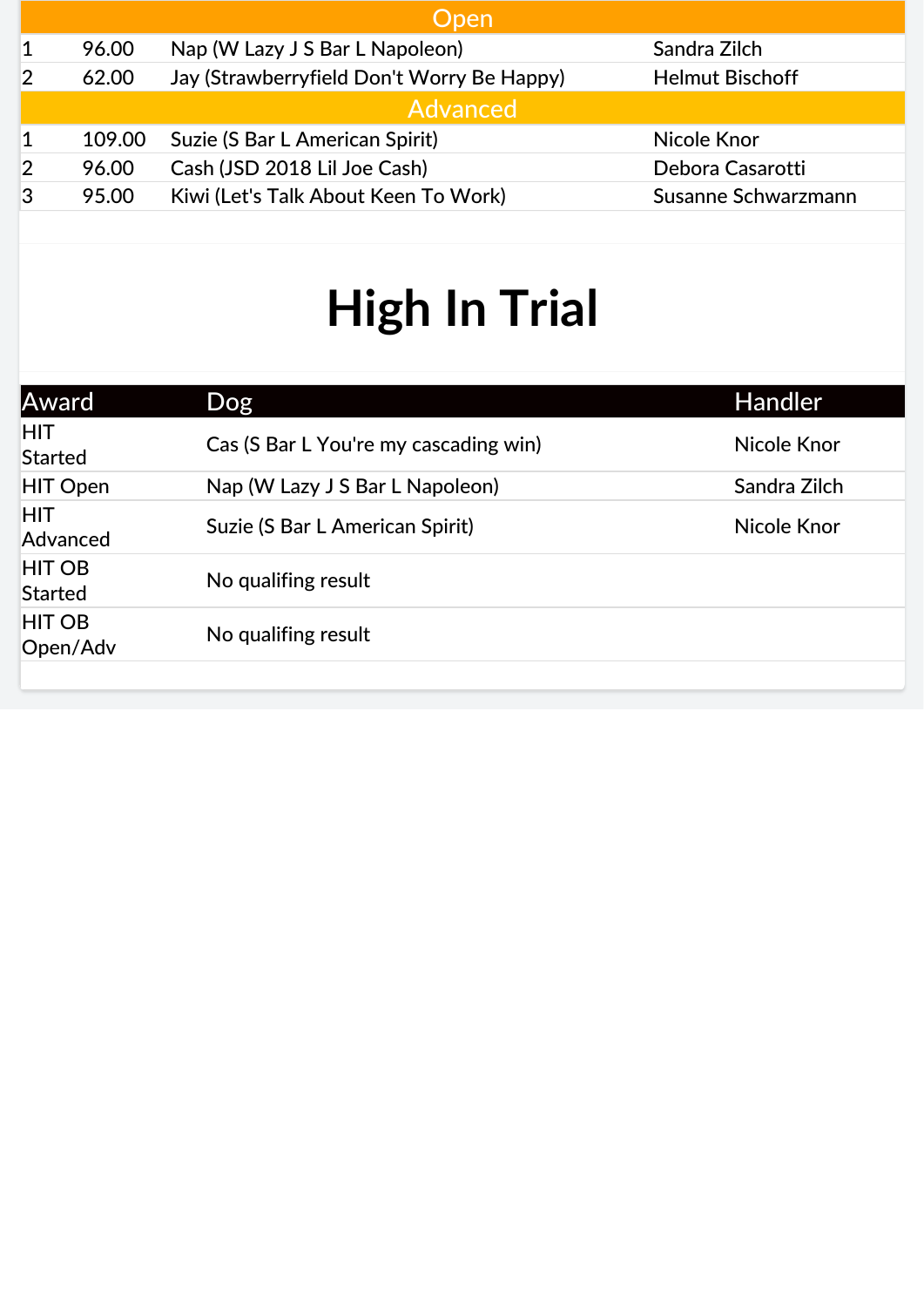| Open   |                                            |                        |  |
|--------|--------------------------------------------|------------------------|--|
| 96.00  | Nap (W Lazy J S Bar L Napoleon)            | Sandra Zilch           |  |
| 62.00  | Jay (Strawberryfield Don't Worry Be Happy) | <b>Helmut Bischoff</b> |  |
|        | Advanced                                   |                        |  |
| 109.00 | Suzie (S Bar L American Spirit)            | Nicole Knor            |  |
| 96.00  | Cash (JSD 2018 Lil Joe Cash)               | Debora Casarotti       |  |
| 95.00  | Kiwi (Let's Talk About Keen To Work)       | Susanne Schwarzmann    |  |
|        |                                            |                        |  |

| Award                           | Dog                                   | Handler      |
|---------------------------------|---------------------------------------|--------------|
| <b>HIT</b><br>Started           | Cas (S Bar L You're my cascading win) | Nicole Knor  |
| <b>HIT Open</b>                 | Nap (W Lazy J S Bar L Napoleon)       | Sandra Zilch |
| <b>HIT</b><br>Advanced          | Suzie (S Bar L American Spirit)       | Nicole Knor  |
| <b>HIT OB</b><br><b>Started</b> | No qualifing result                   |              |
| <b>HIT OB</b><br>Open/Adv       | No qualifing result                   |              |
|                                 |                                       |              |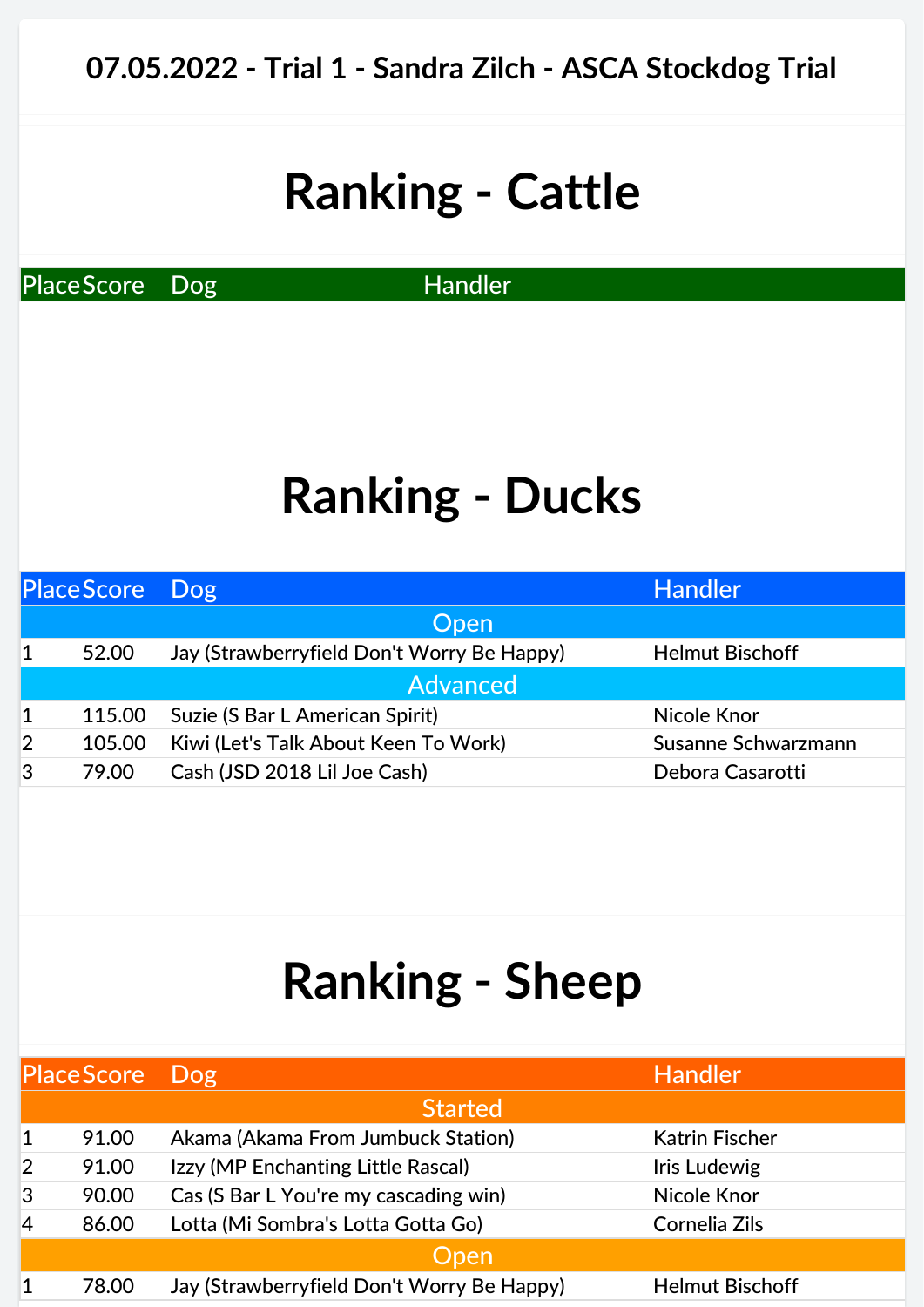PlaceScore Dog Handler

#### **Ranking - Ducks**

| Place Score Dog |        |                                            | <b>Handler</b>         |
|-----------------|--------|--------------------------------------------|------------------------|
|                 |        | <b>Open</b>                                |                        |
| 1               | 52.00  | Jay (Strawberryfield Don't Worry Be Happy) | <b>Helmut Bischoff</b> |
|                 |        | <b>Advanced</b>                            |                        |
| 1               | 115.00 | Suzie (S Bar L American Spirit)            | Nicole Knor            |
| $\overline{2}$  | 105.00 | Kiwi (Let's Talk About Keen To Work)       | Susanne Schwarzmann    |
| 3               | 79.00  | Cash (JSD 2018 Lil Joe Cash)               | Debora Casarotti       |
|                 |        |                                            |                        |

| Place Score Dog |       |                                            | <b>Handler</b>         |
|-----------------|-------|--------------------------------------------|------------------------|
|                 |       | <b>Started</b>                             |                        |
|                 | 91.00 | Akama (Akama From Jumbuck Station)         | <b>Katrin Fischer</b>  |
| $\overline{2}$  | 91.00 | Izzy (MP Enchanting Little Rascal)         | Iris Ludewig           |
| 3               | 90.00 | Cas (S Bar L You're my cascading win)      | Nicole Knor            |
| $\overline{4}$  | 86.00 | Lotta (Mi Sombra's Lotta Gotta Go)         | Cornelia Zils          |
|                 |       | Open                                       |                        |
|                 | 78.00 | Jay (Strawberryfield Don't Worry Be Happy) | <b>Helmut Bischoff</b> |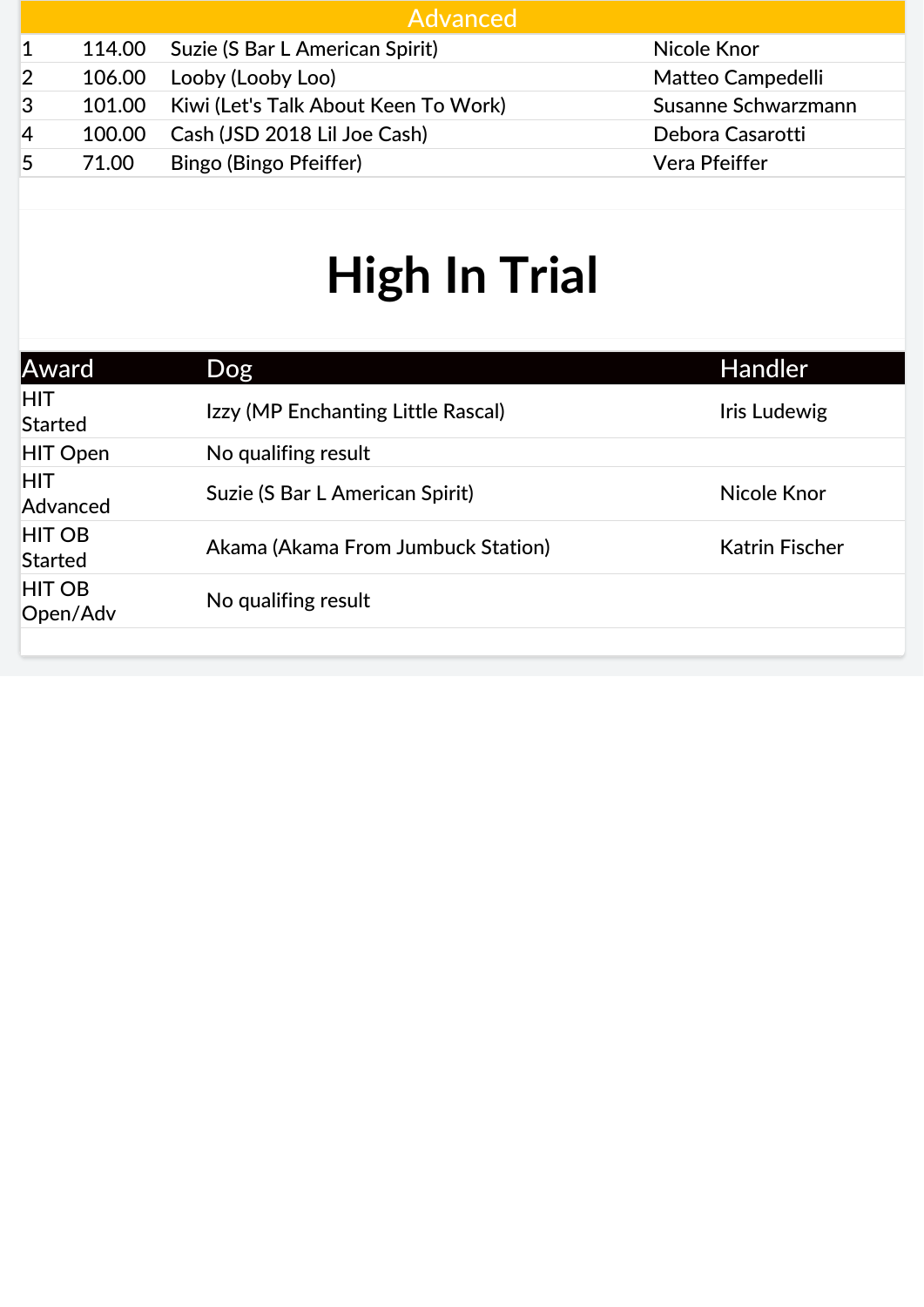|        | Advanced               |                                                                                                                |
|--------|------------------------|----------------------------------------------------------------------------------------------------------------|
|        |                        | Nicole Knor                                                                                                    |
| 106.00 | Looby (Looby Loo)      | Matteo Campedelli                                                                                              |
| 101.00 |                        | Susanne Schwarzmann                                                                                            |
| 100.00 |                        | Debora Casarotti                                                                                               |
| 71.00  | Bingo (Bingo Pfeiffer) | Vera Pfeiffer                                                                                                  |
|        |                        | 114.00 Suzie (S Bar L American Spirit)<br>Kiwi (Let's Talk About Keen To Work)<br>Cash (JSD 2018 Lil Joe Cash) |

| Award                           | Dog                                | <b>Handler</b>        |
|---------------------------------|------------------------------------|-----------------------|
| <b>HIT</b><br><b>Started</b>    | Izzy (MP Enchanting Little Rascal) | Iris Ludewig          |
| <b>HIT Open</b>                 | No qualifing result                |                       |
| <b>HIT</b><br>Advanced          | Suzie (S Bar L American Spirit)    | Nicole Knor           |
| <b>HIT OB</b><br><b>Started</b> | Akama (Akama From Jumbuck Station) | <b>Katrin Fischer</b> |
| <b>HIT OB</b><br>Open/Adv       | No qualifing result                |                       |
|                                 |                                    |                       |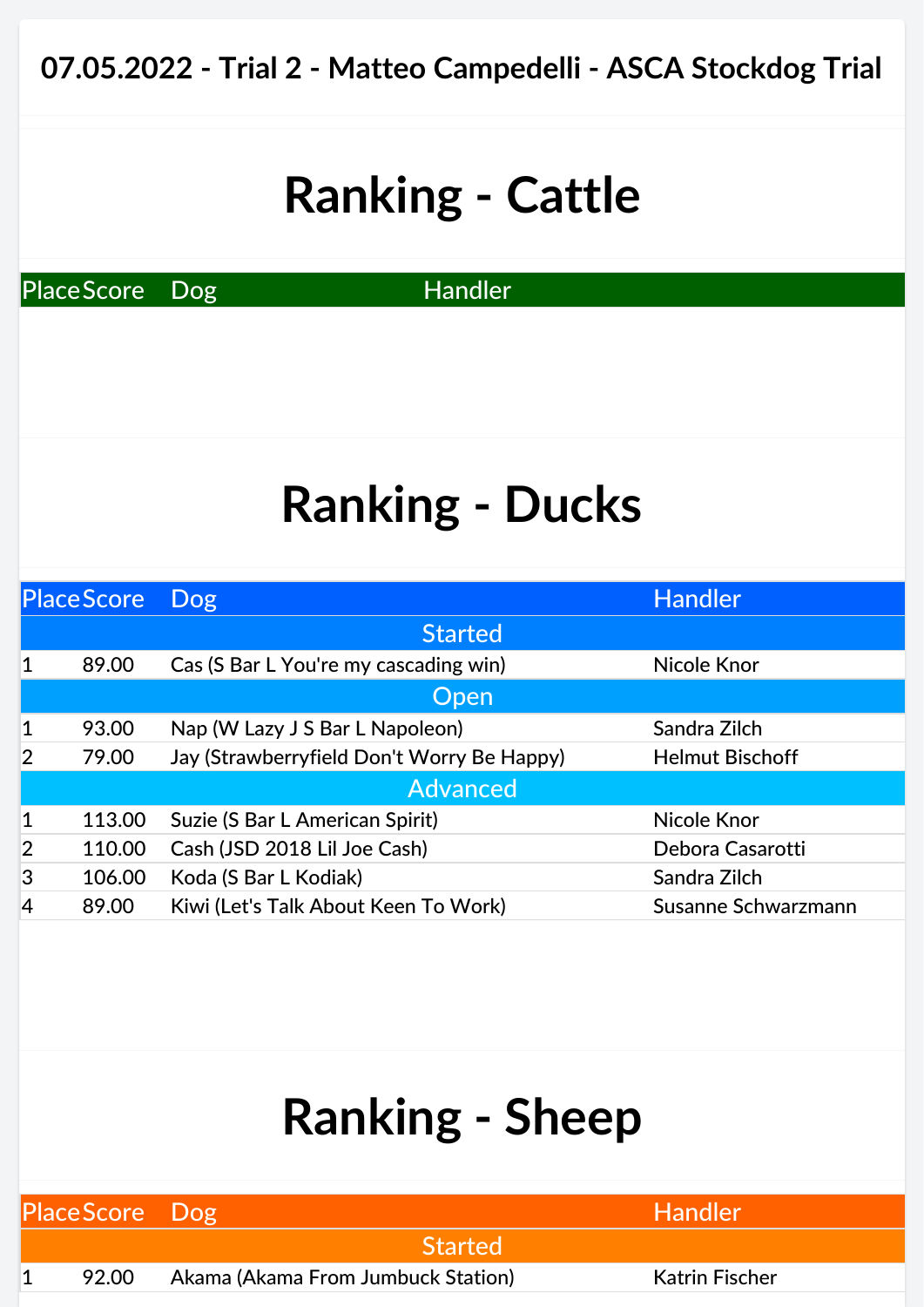PlaceScore Dog Handler

## **Ranking - Ducks**

|                | <b>Place Score</b> | Dog                                        | <b>Handler</b>         |
|----------------|--------------------|--------------------------------------------|------------------------|
|                |                    | <b>Started</b>                             |                        |
| 1              | 89.00              | Cas (S Bar L You're my cascading win)      | <b>Nicole Knor</b>     |
|                |                    | Open                                       |                        |
| $\mathbf 1$    | 93.00              | Nap (W Lazy J S Bar L Napoleon)            | Sandra Zilch           |
| $\overline{2}$ | 79.00              | Jay (Strawberryfield Don't Worry Be Happy) | <b>Helmut Bischoff</b> |
|                |                    | <b>Advanced</b>                            |                        |
| $\mathbf{1}$   | 113.00             | Suzie (S Bar L American Spirit)            | Nicole Knor            |
| $\overline{2}$ | 110.00             | Cash (JSD 2018 Lil Joe Cash)               | Debora Casarotti       |
| 3              | 106.00             | Koda (S Bar L Kodiak)                      | Sandra Zilch           |
| 4              | 89.00              | Kiwi (Let's Talk About Keen To Work)       | Susanne Schwarzmann    |

| Place Score Dog |       |                                    | Handler !             |  |
|-----------------|-------|------------------------------------|-----------------------|--|
|                 |       | <b>Started</b>                     |                       |  |
|                 | 92.00 | Akama (Akama From Jumbuck Station) | <b>Katrin Fischer</b> |  |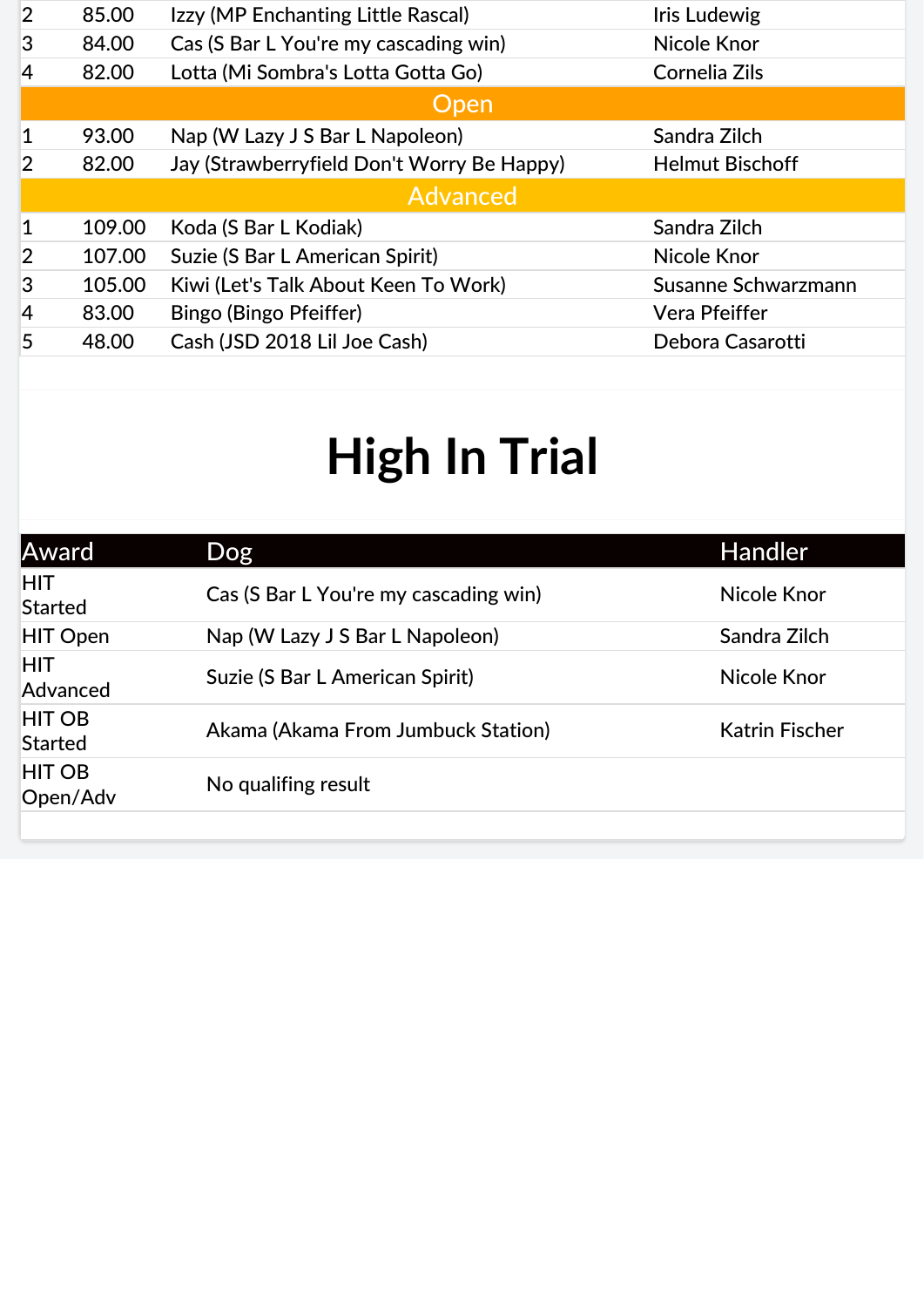| $\overline{2}$ | 85.00  | Izzy (MP Enchanting Little Rascal)         | <b>Iris Ludewig</b>    |
|----------------|--------|--------------------------------------------|------------------------|
| 3              | 84.00  | Cas (S Bar L You're my cascading win)      | Nicole Knor            |
| 4              | 82.00  | Lotta (Mi Sombra's Lotta Gotta Go)         | Cornelia Zils          |
|                |        | <b>Open</b>                                |                        |
|                | 93.00  | Nap (W Lazy J S Bar L Napoleon)            | Sandra Zilch           |
| $\overline{2}$ | 82.00  | Jay (Strawberryfield Don't Worry Be Happy) | <b>Helmut Bischoff</b> |
|                |        | <b>Advanced</b>                            |                        |
| 1              | 109.00 | Koda (S Bar L Kodiak)                      | Sandra Zilch           |
| $\overline{2}$ | 107.00 | Suzie (S Bar L American Spirit)            | Nicole Knor            |
| 3              | 105.00 | Kiwi (Let's Talk About Keen To Work)       | Susanne Schwarzmann    |
| $\overline{4}$ | 83.00  | Bingo (Bingo Pfeiffer)                     | Vera Pfeiffer          |
| 5              | 48.00  | Cash (JSD 2018 Lil Joe Cash)               | Debora Casarotti       |

| <b>Dog</b>                            | <b>Handler</b>        |
|---------------------------------------|-----------------------|
| Cas (S Bar L You're my cascading win) | Nicole Knor           |
| Nap (W Lazy J S Bar L Napoleon)       | Sandra Zilch          |
| Suzie (S Bar L American Spirit)       | Nicole Knor           |
| Akama (Akama From Jumbuck Station)    | <b>Katrin Fischer</b> |
| No qualifing result                   |                       |
|                                       |                       |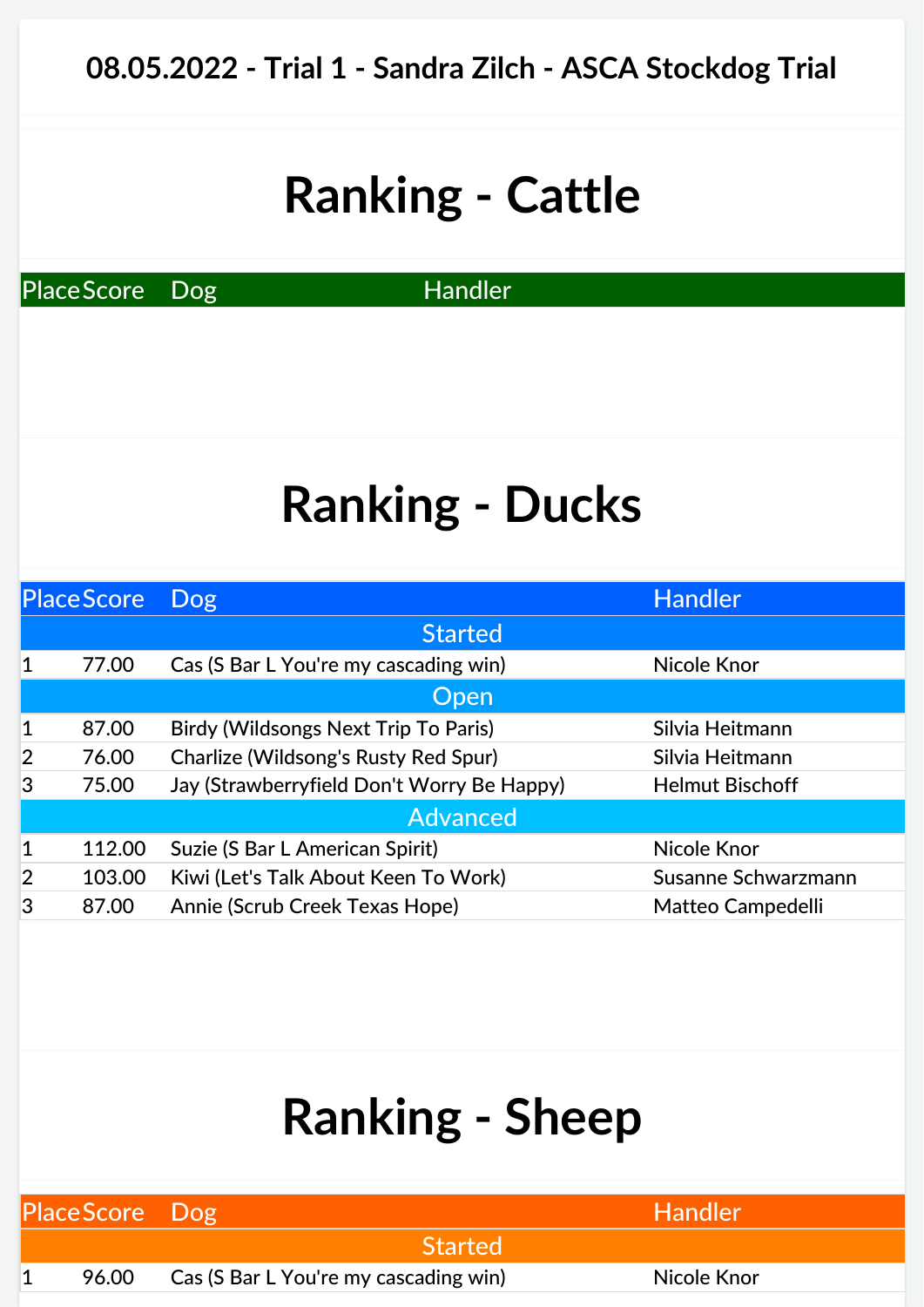PlaceScore Dog Handler

## **Ranking - Ducks**

|                | <b>Place Score</b> | <b>Dog</b>                                 | <b>Handler</b>         |
|----------------|--------------------|--------------------------------------------|------------------------|
|                |                    | <b>Started</b>                             |                        |
| 1              | 77.00              | Cas (S Bar L You're my cascading win)      | Nicole Knor            |
|                |                    | <b>Open</b>                                |                        |
| 1              | 87.00              | Birdy (Wildsongs Next Trip To Paris)       | Silvia Heitmann        |
| $\overline{2}$ | 76.00              | Charlize (Wildsong's Rusty Red Spur)       | Silvia Heitmann        |
| 3              | 75.00              | Jay (Strawberryfield Don't Worry Be Happy) | <b>Helmut Bischoff</b> |
|                |                    | <b>Advanced</b>                            |                        |
| 1              | 112.00             | Suzie (S Bar L American Spirit)            | <b>Nicole Knor</b>     |
| $\overline{2}$ | 103.00             | Kiwi (Let's Talk About Keen To Work)       | Susanne Schwarzmann    |
| 3              | 87.00              | Annie (Scrub Creek Texas Hope)             | Matteo Campedelli      |

| Place Score Dog |                                       | <b>Handler</b> |  |
|-----------------|---------------------------------------|----------------|--|
|                 | <b>Started</b>                        |                |  |
| 96.00           | Cas (S Bar L You're my cascading win) | Nicole Knor    |  |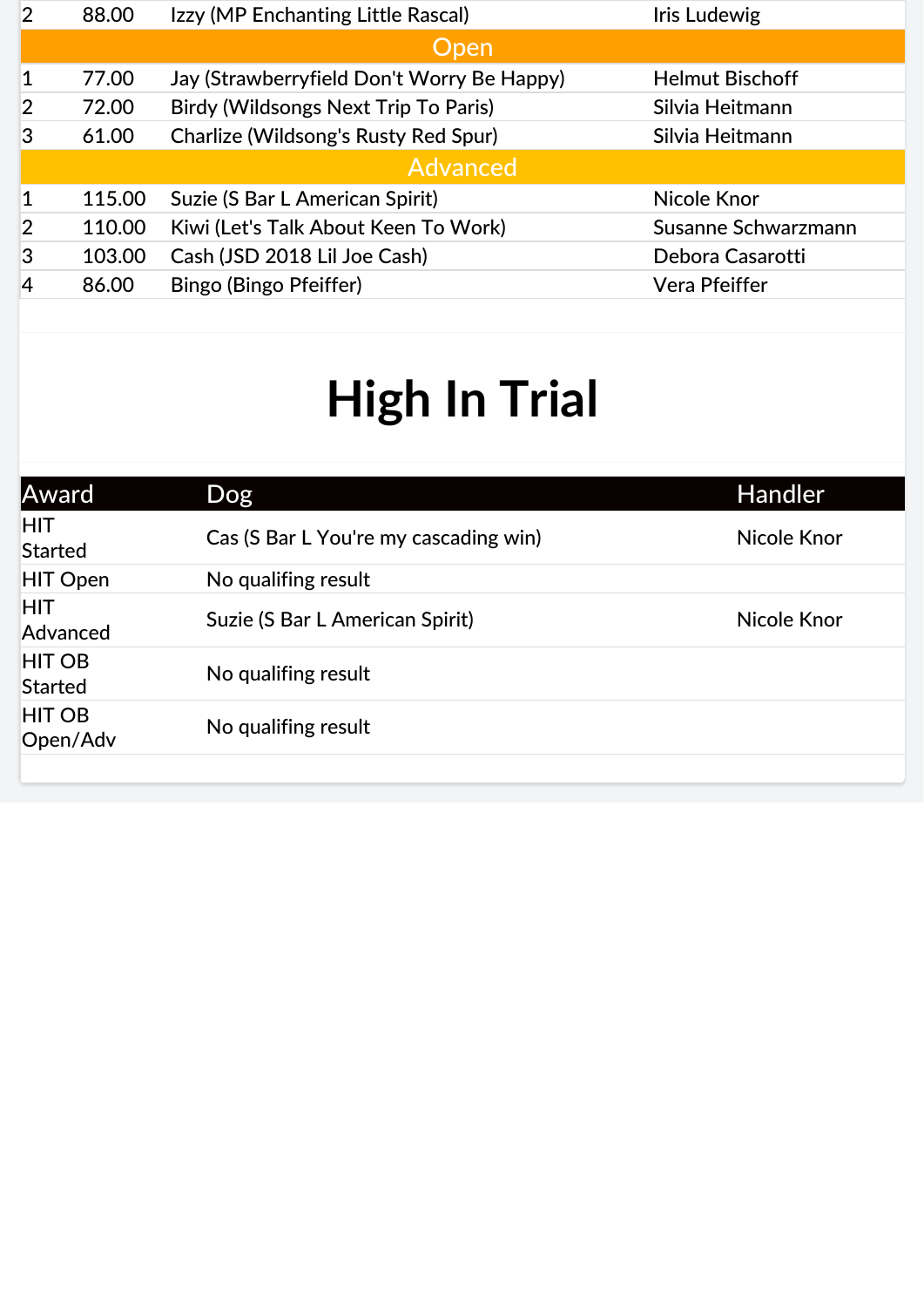| Susanne Schwarzmann |
|---------------------|
|                     |
|                     |
|                     |

| Award                           | Dog                                   | <b>Handler</b> |
|---------------------------------|---------------------------------------|----------------|
| <b>HIT</b><br><b>Started</b>    | Cas (S Bar L You're my cascading win) | Nicole Knor    |
| <b>HIT Open</b>                 | No qualifing result                   |                |
| <b>HIT</b><br>Advanced          | Suzie (S Bar L American Spirit)       | Nicole Knor    |
| <b>HIT OB</b><br><b>Started</b> | No qualifing result                   |                |
| <b>HIT OB</b><br>Open/Adv       | No qualifing result                   |                |
|                                 |                                       |                |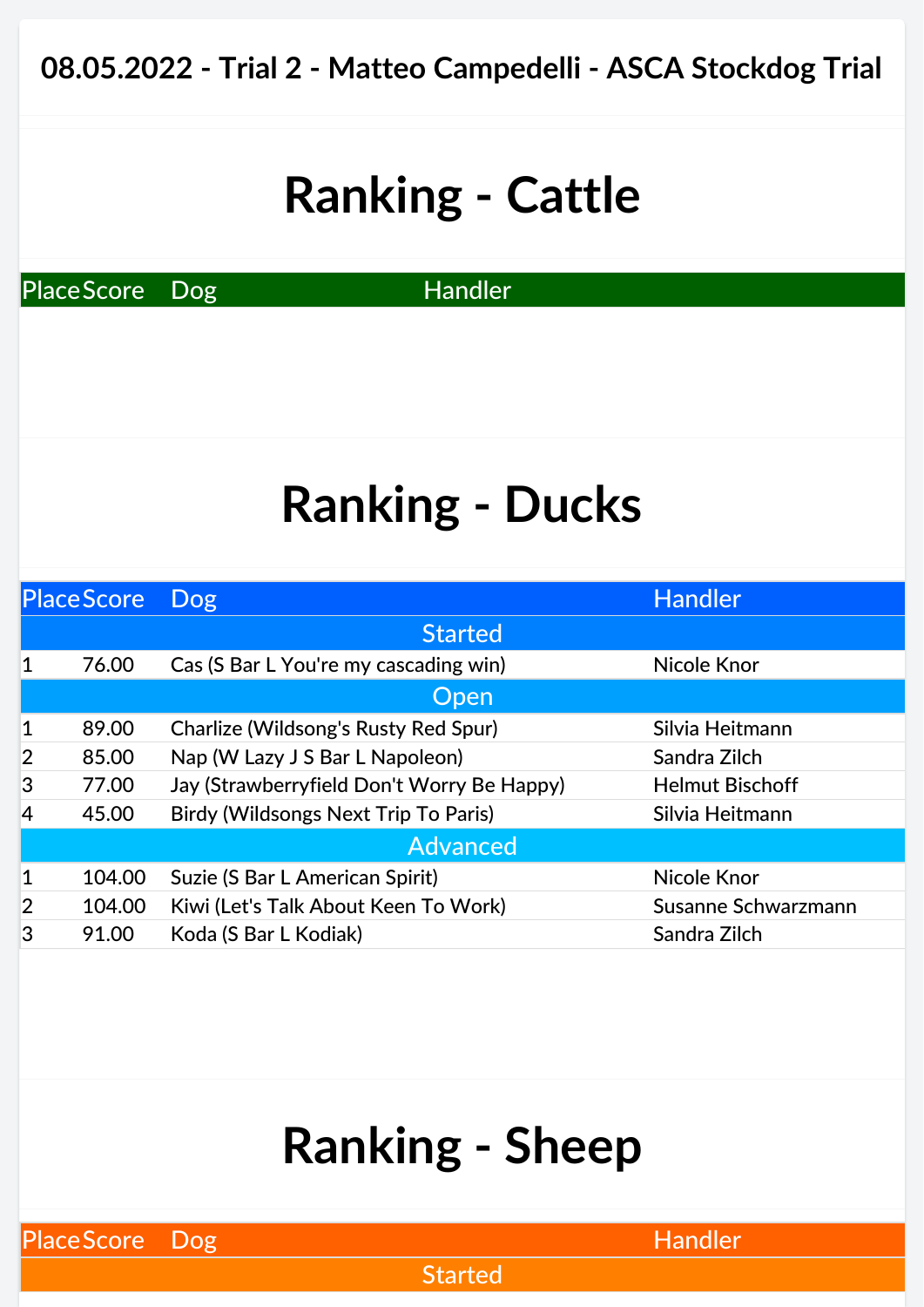PlaceScore Dog Handler

## **Ranking - Ducks**

|                | <b>Place Score</b> | <b>Dog</b>                                  | Handler                |
|----------------|--------------------|---------------------------------------------|------------------------|
|                |                    | <b>Started</b>                              |                        |
| 1              | 76.00              | Cas (S Bar L You're my cascading win)       | <b>Nicole Knor</b>     |
|                |                    | Open                                        |                        |
| 1              | 89.00              | Charlize (Wildsong's Rusty Red Spur)        | Silvia Heitmann        |
| $\overline{2}$ | 85.00              | Nap (W Lazy J S Bar L Napoleon)             | Sandra Zilch           |
| 3              | 77.00              | Jay (Strawberryfield Don't Worry Be Happy)  | <b>Helmut Bischoff</b> |
| 4              | 45.00              | <b>Birdy (Wildsongs Next Trip To Paris)</b> | Silvia Heitmann        |
|                |                    | <b>Advanced</b>                             |                        |
| $\mathbf 1$    | 104.00             | Suzie (S Bar L American Spirit)             | <b>Nicole Knor</b>     |
| $\overline{2}$ | 104.00             | Kiwi (Let's Talk About Keen To Work)        | Susanne Schwarzmann    |
| 3              | 91.00              | Koda (S Bar L Kodiak)                       | Sandra Zilch           |
|                |                    |                                             |                        |

### **Ranking - Sheep**

PlaceScore Dog **Handler** Research Manual PlaceScore Dog

**Started**